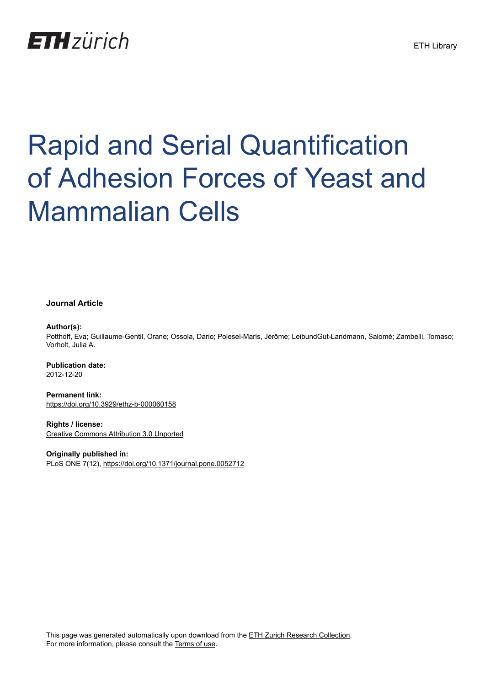

# Rapid and Serial Quantification of Adhesion Forces of Yeast and Mammalian Cells

**Journal Article**

## **Author(s):**

Potthoff, Eva; Guillaume-Gentil, Orane; Ossola, Dario; Polesel-Maris, Jérôme; LeibundGut-Landmann, Salomé; Zambelli, Tomaso; Vorholt, Julia A.

**Publication date:** 2012-12-20

**Permanent link:** <https://doi.org/10.3929/ethz-b-000060158>

**Rights / license:** [Creative Commons Attribution 3.0 Unported](http://creativecommons.org/licenses/by/3.0/)

**Originally published in:** PLoS ONE 7(12), <https://doi.org/10.1371/journal.pone.0052712>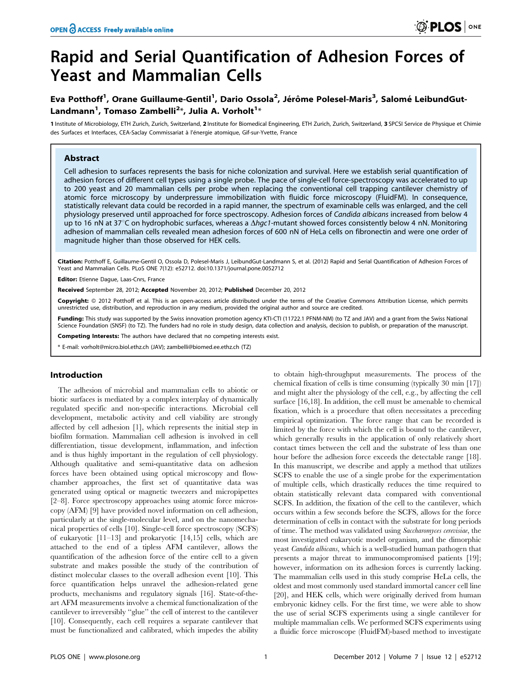# Rapid and Serial Quantification of Adhesion Forces of Yeast and Mammalian Cells

# Eva Potthoff<sup>1</sup>, Orane Guillaume-Gentil<sup>1</sup>, Dario Ossola<sup>2</sup>, Jérôme Polesel-Maris<sup>3</sup>, Salomé LeibundGut-Landmann<sup>1</sup>, Tomaso Zambelli<sup>2</sup>\*, Julia A. Vorholt<sup>1</sup>\*

1 Institute of Microbiology, ETH Zurich, Zurich, Switzerland, 2 Institute for Biomedical Engineering, ETH Zurich, Zurich, Switzerland, 3 SPCSI Service de Physique et Chimie des Surfaces et Interfaces, CEA-Saclay Commissariat à l'énergie atomique, Gif-sur-Yvette, France

# Abstract

Cell adhesion to surfaces represents the basis for niche colonization and survival. Here we establish serial quantification of adhesion forces of different cell types using a single probe. The pace of single-cell force-spectroscopy was accelerated to up to 200 yeast and 20 mammalian cells per probe when replacing the conventional cell trapping cantilever chemistry of atomic force microscopy by underpressure immobilization with fluidic force microscopy (FluidFM). In consequence, statistically relevant data could be recorded in a rapid manner, the spectrum of examinable cells was enlarged, and the cell physiology preserved until approached for force spectroscopy. Adhesion forces of Candida albicans increased from below 4 up to 16 nN at 37°C on hydrophobic surfaces, whereas a  $\Delta h$ gc1-mutant showed forces consistently below 4 nN. Monitoring adhesion of mammalian cells revealed mean adhesion forces of 600 nN of HeLa cells on fibronectin and were one order of magnitude higher than those observed for HEK cells.

Citation: Potthoff E, Guillaume-Gentil O, Ossola D, Polesel-Maris J, LeibundGut-Landmann S, et al. (2012) Rapid and Serial Quantification of Adhesion Forces of Yeast and Mammalian Cells. PLoS ONE 7(12): e52712. doi:10.1371/journal.pone.0052712

Editor: Etienne Dague, Laas-Cnrs, France

Received September 28, 2012; Accepted November 20, 2012; Published December 20, 2012

**Copyright:** © 2012 Potthoff et al. This is an open-access article distributed under the terms of the Creative Commons Attribution License, which permits unrestricted use, distribution, and reproduction in any medium, provided the original author and source are credited.

Funding: This study was supported by the Swiss innovation promotion agency KTI-CTI (11722.1 PFNM-NM) (to TZ and JAV) and a grant from the Swiss National Science Foundation (SNSF) (to TZ). The funders had no role in study design, data collection and analysis, decision to publish, or preparation of the manuscript.

Competing Interests: The authors have declared that no competing interests exist.

\* E-mail: vorholt@micro.biol.ethz.ch (JAV); zambelli@biomed.ee.ethz.ch (TZ)

## Introduction

The adhesion of microbial and mammalian cells to abiotic or biotic surfaces is mediated by a complex interplay of dynamically regulated specific and non-specific interactions. Microbial cell development, metabolic activity and cell viability are strongly affected by cell adhesion [1], which represents the initial step in biofilm formation. Mammalian cell adhesion is involved in cell differentiation, tissue development, inflammation, and infection and is thus highly important in the regulation of cell physiology. Although qualitative and semi-quantitative data on adhesion forces have been obtained using optical microscopy and flowchamber approaches, the first set of quantitative data was generated using optical or magnetic tweezers and micropipettes [2–8]. Force spectroscopy approaches using atomic force microscopy (AFM) [9] have provided novel information on cell adhesion, particularly at the single-molecular level, and on the nanomechanical properties of cells [10]. Single-cell force spectroscopy (SCFS) of eukaryotic [11–13] and prokaryotic [14,15] cells, which are attached to the end of a tipless AFM cantilever, allows the quantification of the adhesion force of the entire cell to a given substrate and makes possible the study of the contribution of distinct molecular classes to the overall adhesion event [10]. This force quantification helps unravel the adhesion-related gene products, mechanisms and regulatory signals [16]. State-of-theart AFM measurements involve a chemical functionalization of the cantilever to irreversibly ''glue'' the cell of interest to the cantilever [10]. Consequently, each cell requires a separate cantilever that must be functionalized and calibrated, which impedes the ability

to obtain high-throughput measurements. The process of the chemical fixation of cells is time consuming (typically 30 min [17]) and might alter the physiology of the cell, e.g., by affecting the cell surface [16,18]. In addition, the cell must be amenable to chemical fixation, which is a procedure that often necessitates a preceding empirical optimization. The force range that can be recorded is limited by the force with which the cell is bound to the cantilever, which generally results in the application of only relatively short contact times between the cell and the substrate of less than one hour before the adhesion force exceeds the detectable range [18]. In this manuscript, we describe and apply a method that utilizes SCFS to enable the use of a single probe for the experimentation of multiple cells, which drastically reduces the time required to obtain statistically relevant data compared with conventional SCFS. In addition, the fixation of the cell to the cantilever, which occurs within a few seconds before the SCFS, allows for the force determination of cells in contact with the substrate for long periods of time. The method was validated using Saccharomyces cerevisiae, the most investigated eukaryotic model organism, and the dimorphic yeast Candida albicans, which is a well-studied human pathogen that presents a major threat to immunocompromised patients [19]; however, information on its adhesion forces is currently lacking. The mammalian cells used in this study comprise HeLa cells, the oldest and most commonly used standard immortal cancer cell line [20], and HEK cells, which were originally derived from human embryonic kidney cells. For the first time, we were able to show the use of serial SCFS experiments using a single cantilever for multiple mammalian cells. We performed SCFS experiments using a fluidic force microscope (FluidFM)-based method to investigate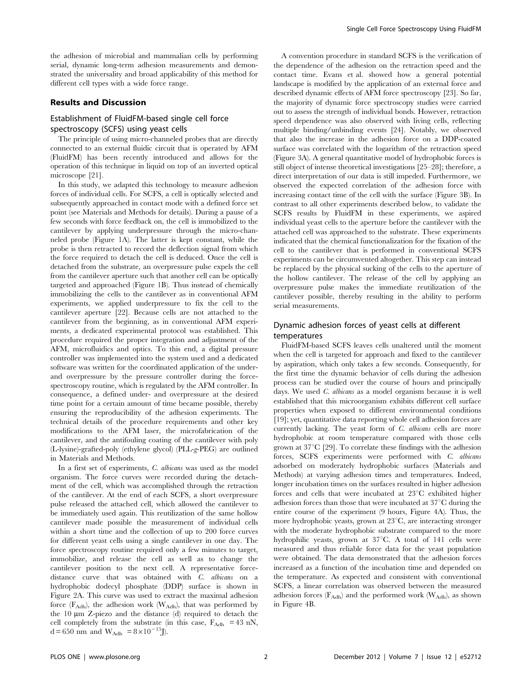the adhesion of microbial and mammalian cells by performing serial, dynamic long-term adhesion measurements and demonstrated the universality and broad applicability of this method for different cell types with a wide force range.

#### Results and Discussion

# Establishment of FluidFM-based single cell force spectroscopy (SCFS) using yeast cells

The principle of using micro-channeled probes that are directly connected to an external fluidic circuit that is operated by AFM (FluidFM) has been recently introduced and allows for the operation of this technique in liquid on top of an inverted optical microscope [21].

In this study, we adapted this technology to measure adhesion forces of individual cells. For SCFS, a cell is optically selected and subsequently approached in contact mode with a defined force set point (see Materials and Methods for details). During a pause of a few seconds with force feedback on, the cell is immobilized to the cantilever by applying underpressure through the micro-channeled probe (Figure 1A). The latter is kept constant, while the probe is then retracted to record the deflection signal from which the force required to detach the cell is deduced. Once the cell is detached from the substrate, an overpressure pulse expels the cell from the cantilever aperture such that another cell can be optically targeted and approached (Figure 1B). Thus instead of chemically immobilizing the cells to the cantilever as in conventional AFM experiments, we applied underpressure to fix the cell to the cantilever aperture [22]. Because cells are not attached to the cantilever from the beginning, as in conventional AFM experiments, a dedicated experimental protocol was established. This procedure required the proper integration and adjustment of the AFM, microfluidics and optics. To this end, a digital pressure controller was implemented into the system used and a dedicated software was written for the coordinated application of the underand overpressure by the pressure controller during the forcespectroscopy routine, which is regulated by the AFM controller. In consequence, a defined under- and overpressure at the desired time point for a certain amount of time became possible, thereby ensuring the reproducibility of the adhesion experiments. The technical details of the procedure requirements and other key modifications to the AFM laser, the microfabrication of the cantilever, and the antifouling coating of the cantilever with poly (L-lysine)-grafted-poly (ethylene glycol) (PLL-g-PEG) are outlined in Materials and Methods.

In a first set of experiments, C. albicans was used as the model organism. The force curves were recorded during the detachment of the cell, which was accomplished through the retraction of the cantilever. At the end of each SCFS, a short overpressure pulse released the attached cell, which allowed the cantilever to be immediately used again. This reutilization of the same hollow cantilever made possible the measurement of individual cells within a short time and the collection of up to 200 force curves for different yeast cells using a single cantilever in one day. The force spectroscopy routine required only a few minutes to target, immobilize, and release the cell as well as to change the cantilever position to the next cell. A representative forcedistance curve that was obtained with C. albicans on a hydrophobic dodecyl phosphate (DDP) surface is shown in Figure 2A. This curve was used to extract the maximal adhesion force  $(F_{\text{Adh}})$ , the adhesion work  $(W_{\text{Adh}})$ , that was performed by the  $10 \mu m$  Z-piezo and the distance (d) required to detach the cell completely from the substrate (in this case,  $F_{\text{Adh}} = 43 \text{ nN}$ ,  $d = 650$  nm and  $W_{\text{Adh}} = 8 \times 10^{-15}$ J).

A convention procedure in standard SCFS is the verification of the dependence of the adhesion on the retraction speed and the contact time. Evans et al. showed how a general potential landscape is modified by the application of an external force and described dynamic effects of AFM force spectroscopy [23]. So far, the majority of dynamic force spectroscopy studies were carried out to assess the strength of individual bonds. However, retraction speed dependence was also observed with living cells, reflecting multiple binding/unbinding events [24]. Notably, we observed that also the increase in the adhesion force on a DDP-coated surface was correlated with the logarithm of the retraction speed (Figure 3A). A general quantitative model of hydrophobic forces is still object of intense theoretical investigations [25–28]; therefore, a direct interpretation of our data is still impeded. Furthermore, we observed the expected correlation of the adhesion force with increasing contact time of the cell with the surface (Figure 3B). In contrast to all other experiments described below, to validate the SCFS results by FluidFM in these experiments, we aspired individual yeast cells to the aperture before the cantilever with the attached cell was approached to the substrate. These experiments indicated that the chemical functionalization for the fixation of the cell to the cantilever that is performed in conventional SCFS experiments can be circumvented altogether. This step can instead be replaced by the physical sucking of the cells to the aperture of the hollow cantilever. The release of the cell by applying an overpressure pulse makes the immediate reutilization of the cantilever possible, thereby resulting in the ability to perform serial measurements.

# Dynamic adhesion forces of yeast cells at different temperatures

FluidFM-based SCFS leaves cells unaltered until the moment when the cell is targeted for approach and fixed to the cantilever by aspiration, which only takes a few seconds. Consequently, for the first time the dynamic behavior of cells during the adhesion process can be studied over the course of hours and principally days. We used C. albicans as a model organism because it is well established that this microorganism exhibits different cell surface properties when exposed to different environmental conditions [19]; yet, quantitative data reporting whole cell adhesion forces are currently lacking. The yeast form of C. albicans cells are more hydrophobic at room temperature compared with those cells grown at  $37^{\circ}$ C [29]. To correlate these findings with the adhesion forces, SCFS experiments were performed with C. albicans adsorbed on moderately hydrophobic surfaces (Materials and Methods) at varying adhesion times and temperatures. Indeed, longer incubation times on the surfaces resulted in higher adhesion forces and cells that were incubated at  $23^{\circ}$ C exhibited higher adhesion forces than those that were incubated at  $37^{\circ}$ C during the entire course of the experiment (9 hours, Figure 4A). Thus, the more hydrophobic yeasts, grown at  $23^{\circ}$ C, are interacting stronger with the moderate hydrophobic substrate compared to the more hydrophilic yeasts, grown at  $37^{\circ}$ C. A total of 141 cells were measured and thus reliable force data for the yeast population were obtained. The data demonstrated that the adhesion forces increased as a function of the incubation time and depended on the temperature. As expected and consistent with conventional SCFS, a linear correlation was observed between the measured adhesion forces ( $F_{\rm Adh}$ ) and the performed work ( $W_{\rm Adh}$ ), as shown in Figure 4B.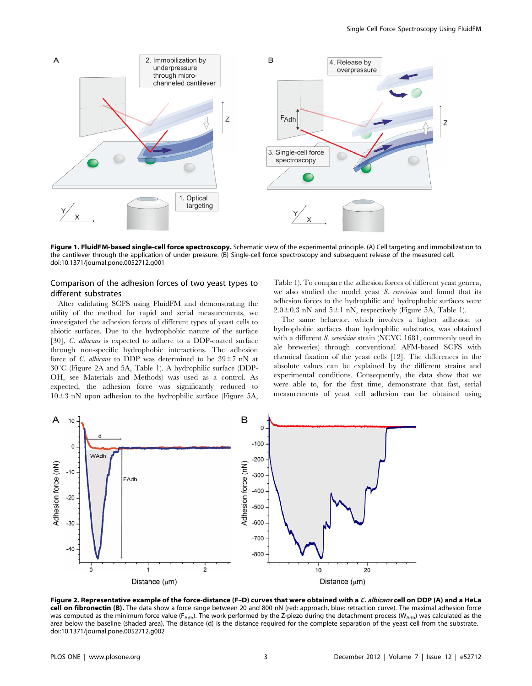

Figure 1. FluidFM-based single-cell force spectroscopy. Schematic view of the experimental principle. (A) Cell targeting and immobilization to the cantilever through the application of under pressure. (B) Single-cell force spectroscopy and subsequent release of the measured cell. doi:10.1371/journal.pone.0052712.g001

# Comparison of the adhesion forces of two yeast types to different substrates

After validating SCFS using FluidFM and demonstrating the utility of the method for rapid and serial measurements, we investigated the adhesion forces of different types of yeast cells to abiotic surfaces. Due to the hydrophobic nature of the surface [30], C. albicans is expected to adhere to a DDP-coated surface through non-specific hydrophobic interactions. The adhesion force of C. albicans to DDP was determined to be  $39\pm7$  nN at  $30^{\circ}$ C (Figure 2A and 5A, Table 1). A hydrophilic surface (DDP-OH, see Materials and Methods) was used as a control. As expected, the adhesion force was significantly reduced to  $10\pm3$  nN upon adhesion to the hydrophilic surface (Figure 5A, Table 1). To compare the adhesion forces of different yeast genera, we also studied the model yeast S. cerevisiae and found that its adhesion forces to the hydrophilic and hydrophobic surfaces were  $2.0\pm0.3$  nN and  $5\pm1$  nN, respectively (Figure 5A, Table 1).

The same behavior, which involves a higher adhesion to hydrophobic surfaces than hydrophilic substrates, was obtained with a different S. cerevisiae strain (NCYC 1681, commonly used in ale breweries) through conventional AFM-based SCFS with chemical fixation of the yeast cells [12]. The differences in the absolute values can be explained by the different strains and experimental conditions. Consequently, the data show that we were able to, for the first time, demonstrate that fast, serial measurements of yeast cell adhesion can be obtained using



Figure 2. Representative example of the force-distance (F-D) curves that were obtained with a C. albicans cell on DDP (A) and a HeLa cell on fibronectin (B). The data show a force range between 20 and 800 nN (red: approach, blue: retraction curve). The maximal adhesion force was computed as the minimum force value (F<sub>Adh</sub>). The work performed by the Z-piezo during the detachment process (W<sub>Adh</sub>) was calculated as the area below the baseline (shaded area). The distance (d) is the distance required for the complete separation of the yeast cell from the substrate. doi:10.1371/journal.pone.0052712.g002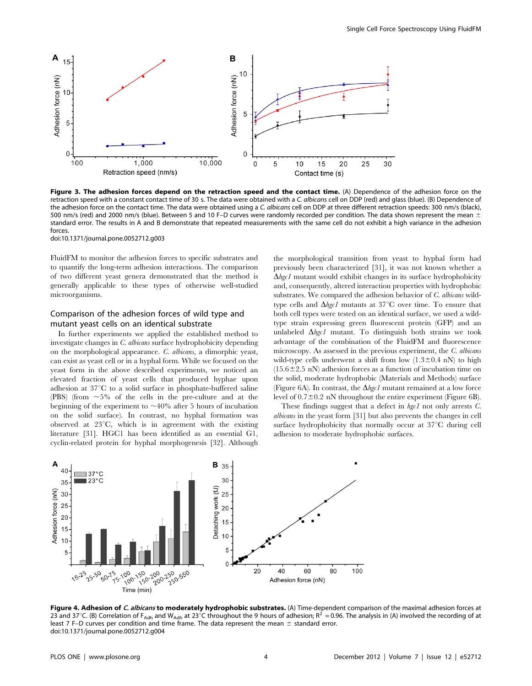

Figure 3. The adhesion forces depend on the retraction speed and the contact time. (A) Dependence of the adhesion force on the retraction speed with a constant contact time of 30 s. The data were obtained with a C. albicans cell on DDP (red) and glass (blue). (B) Dependence of the adhesion force on the contact time. The data were obtained using a C. albicans cell on DDP at three different retraction speeds: 300 nm/s (black), 500 nm/s (red) and 2000 nm/s (blue). Between 5 and 10 F–D curves were randomly recorded per condition. The data shown represent the mean  $\pm$ standard error. The results in A and B demonstrate that repeated measurements with the same cell do not exhibit a high variance in the adhesion forces.

doi:10.1371/journal.pone.0052712.g003

FluidFM to monitor the adhesion forces to specific substrates and to quantify the long-term adhesion interactions. The comparison of two different yeast genera demonstrated that the method is generally applicable to these types of otherwise well-studied microorganisms.

## Comparison of the adhesion forces of wild type and mutant yeast cells on an identical substrate

In further experiments we applied the established method to investigate changes in C. albicans surface hydrophobicity depending on the morphological appearance. C. albicans, a dimorphic yeast, can exist as yeast cell or in a hyphal form. While we focused on the yeast form in the above described experiments, we noticed an elevated fraction of yeast cells that produced hyphae upon adhesion at  $37^{\circ}$ C to a solid surface in phosphate-buffered saline (PBS) (from  $\sim$  5% of the cells in the pre-culture and at the beginning of the experiment to  $\sim$ 40% after 5 hours of incubation on the solid surface). In contrast, no hyphal formation was observed at  $23^{\circ}C$ , which is in agreement with the existing literature [31]. HGC1 has been identified as an essential G1, cyclin-related protein for hyphal morphogenesis [32]. Although the morphological transition from yeast to hyphal form had previously been characterized [31], it was not known whether a  $\Delta$ hgc1 mutant would exhibit changes in its surface hydrophobicity and, consequently, altered interaction properties with hydrophobic substrates. We compared the adhesion behavior of C. albicans wildtype cells and  $\Delta$ hgc1 mutants at 37°C over time. To ensure that both cell types were tested on an identical surface, we used a wildtype strain expressing green fluorescent protein (GFP) and an unlabeled  $\Delta hgcI$  mutant. To distinguish both strains we took advantage of the combination of the FluidFM and fluorescence microscopy. As assessed in the previous experiment, the C. albicans wild-type cells underwent a shift from low  $(1.3\pm0.4 \text{ nN})$  to high  $(15.6 \pm 2.5 \text{ nN})$  adhesion forces as a function of incubation time on the solid, moderate hydrophobic (Materials and Methods) surface (Figure 6A). In contrast, the  $\Delta hgcI$  mutant remained at a low force level of  $0.7\pm0.2$  nN throughout the entire experiment (Figure 6B).

These findings suggest that a defect in  $hgc1$  not only arrests  $C$ . albicans in the yeast form [31] but also prevents the changes in cell surface hydrophobicity that normally occur at  $37^{\circ}$ C during cell adhesion to moderate hydrophobic surfaces.



Figure 4. Adhesion of C. albicans to moderately hydrophobic substrates. (A) Time-dependent comparison of the maximal adhesion forces at 23 and 37°C. (B) Correlation of F<sub>Adh</sub> and W<sub>Adh</sub> at 23°C throughout the 9 hours of adhesion;  $R^2 = 0.96$ . The analysis in (A) involved the recording of at least 7 F–D curves per condition and time frame. The data represent the mean  $\pm$  standard error. doi:10.1371/journal.pone.0052712.g004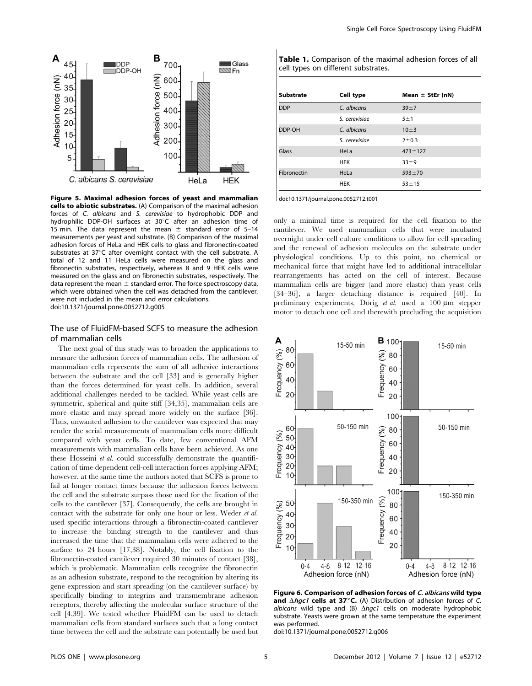

Figure 5. Maximal adhesion forces of yeast and mammalian cells to abiotic substrates. (A) Comparison of the maximal adhesion forces of C. albicans and S. cerevisiae to hydrophobic DDP and hydrophilic DDP-OH surfaces at 30°C after an adhesion time of 15 min. The data represent the mean  $\pm$  standard error of 5–14 measurements per yeast and substrate. (B) Comparison of the maximal adhesion forces of HeLa and HEK cells to glass and fibronectin-coated substrates at  $37^{\circ}$ C after overnight contact with the cell substrate. A total of 12 and 11 HeLa cells were measured on the glass and fibronectin substrates, respectively, whereas 8 and 9 HEK cells were measured on the glass and on fibronectin substrates, respectively. The data represent the mean  $\pm$  standard error. The force spectroscopy data, which were obtained when the cell was detached from the cantilever, were not included in the mean and error calculations. doi:10.1371/journal.pone.0052712.g005

#### The use of FluidFM-based SCFS to measure the adhesion of mammalian cells

The next goal of this study was to broaden the applications to measure the adhesion forces of mammalian cells. The adhesion of mammalian cells represents the sum of all adhesive interactions between the substrate and the cell [33] and is generally higher than the forces determined for yeast cells. In addition, several additional challenges needed to be tackled. While yeast cells are symmetric, spherical and quite stiff [34,35], mammalian cells are more elastic and may spread more widely on the surface [36]. Thus, unwanted adhesion to the cantilever was expected that may render the serial measurements of mammalian cells more difficult compared with yeast cells. To date, few conventional AFM measurements with mammalian cells have been achieved. As one these Hosseini et al. could successfully demonstrate the quantification of time dependent cell-cell interaction forces applying AFM; however, at the same time the authors noted that SCFS is prone to fail at longer contact times because the adhesion forces between the cell and the substrate surpass those used for the fixation of the cells to the cantilever [37]. Consequently, the cells are brought in contact with the substrate for only one hour or less. Weder et al. used specific interactions through a fibronectin-coated cantilever to increase the binding strength to the cantilever and thus increased the time that the mammalian cells were adhered to the surface to 24 hours [17,38]. Notably, the cell fixation to the fibronectin-coated cantilever required 30 minutes of contact [38], which is problematic. Mammalian cells recognize the fibronectin as an adhesion substrate, respond to the recognition by altering its gene expression and start spreading (on the cantilever surface) by specifically binding to integrins and transmembrane adhesion receptors, thereby affecting the molecular surface structure of the cell [4,39]. We tested whether FluidFM can be used to detach mammalian cells from standard surfaces such that a long contact time between the cell and the substrate can potentially be used but

| <b>Substrate</b> | Cell type     | Mean $\pm$ StEr (nN) |
|------------------|---------------|----------------------|
| <b>DDP</b>       | C. albicans   | $39 + 7$             |
|                  | S. cerevisiae | 5±1                  |
| DDP-OH           | C. albicans   | $10 \pm 3$           |
|                  | S. cerevisiae | $2 + 0.3$            |
| Glass            | HeLa          | $473 \pm 127$        |
|                  | <b>HEK</b>    | $33 + 9$             |
| Fibronectin      | HeLa          | $593 + 70$           |
|                  | <b>HEK</b>    | $53 + 15$            |

Table 1. Comparison of the maximal adhesion forces of all cell types on different substrates.

doi:10.1371/journal.pone.0052712.t001

only a minimal time is required for the cell fixation to the cantilever. We used mammalian cells that were incubated overnight under cell culture conditions to allow for cell spreading and the renewal of adhesion molecules on the substrate under physiological conditions. Up to this point, no chemical or mechanical force that might have led to additional intracellular rearrangements has acted on the cell of interest. Because mammalian cells are bigger (and more elastic) than yeast cells [34–36], a larger detaching distance is required [40]. In preliminary experiments, Dörig et al. used a  $100 \mu m$  stepper motor to detach one cell and therewith precluding the acquisition



Figure 6. Comparison of adhesion forces of C. albicans wild type and  $\triangle hgc1$  cells at 37°C. (A) Distribution of adhesion forces of C. albicans wild type and (B)  $\Delta hgc1$  cells on moderate hydrophobic substrate. Yeasts were grown at the same temperature the experiment was performed.

doi:10.1371/journal.pone.0052712.g006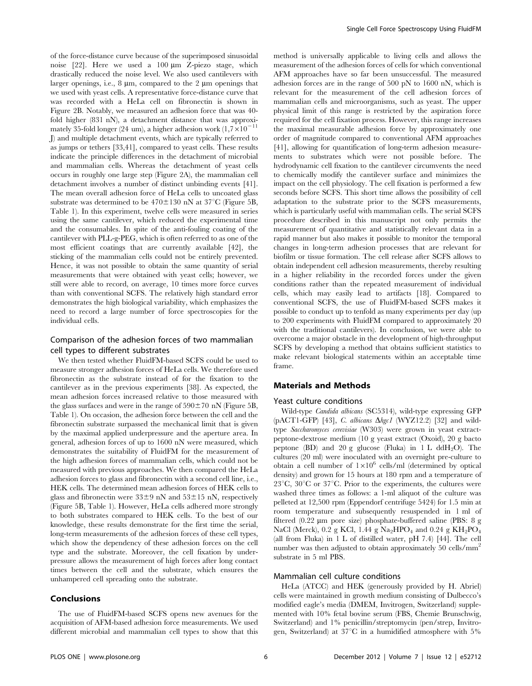of the force-distance curve because of the superimposed sinusoidal noise  $[22]$ . Here we used a 100  $\mu$ m Z-piezo stage, which drastically reduced the noise level. We also used cantilevers with larger openings, i.e.,  $8 \mu m$ , compared to the  $2 \mu m$  openings that we used with yeast cells. A representative force-distance curve that was recorded with a HeLa cell on fibronectin is shown in Figure 2B. Notably, we measured an adhesion force that was 40 fold higher (831 nN), a detachment distance that was approximately 35-fold longer (24 um), a higher adhesion work  $(1,7\times10^{-11}$ J) and multiple detachment events, which are typically referred to as jumps or tethers [33,41], compared to yeast cells. These results indicate the principle differences in the detachment of microbial and mammalian cells. Whereas the detachment of yeast cells occurs in roughly one large step (Figure 2A), the mammalian cell detachment involves a number of distinct unbinding events [41]. The mean overall adhesion force of HeLa cells to uncoated glass substrate was determined to be  $470 \pm 130$  nN at  $37^{\circ}$ C (Figure 5B, Table 1). In this experiment, twelve cells were measured in series using the same cantilever, which reduced the experimental time and the consumables. In spite of the anti-fouling coating of the cantilever with PLL-g-PEG, which is often referred to as one of the most efficient coatings that are currently available [42], the sticking of the mammalian cells could not be entirely prevented. Hence, it was not possible to obtain the same quantity of serial measurements that were obtained with yeast cells; however, we still were able to record, on average, 10 times more force curves than with conventional SCFS. The relatively high standard error demonstrates the high biological variability, which emphasizes the need to record a large number of force spectroscopies for the individual cells.

# Comparison of the adhesion forces of two mammalian cell types to different substrates

We then tested whether FluidFM-based SCFS could be used to measure stronger adhesion forces of HeLa cells. We therefore used fibronectin as the substrate instead of for the fixation to the cantilever as in the previous experiments [38]. As expected, the mean adhesion forces increased relative to those measured with the glass surfaces and were in the range of  $590 \pm 70$  nN (Figure 5B, Table 1). On occasion, the adhesion force between the cell and the fibronectin substrate surpassed the mechanical limit that is given by the maximal applied underpressure and the aperture area. In general, adhesion forces of up to 1600 nN were measured, which demonstrates the suitability of FluidFM for the measurement of the high adhesion forces of mammalian cells, which could not be measured with previous approaches. We then compared the HeLa adhesion forces to glass and fibronectin with a second cell line, i.e., HEK cells. The determined mean adhesion forces of HEK cells to glass and fibronectin were  $33\pm9$  nN and  $53\pm15$  nN, respectively (Figure 5B, Table 1). However, HeLa cells adhered more strongly to both substrates compared to HEK cells. To the best of our knowledge, these results demonstrate for the first time the serial, long-term measurements of the adhesion forces of these cell types, which show the dependency of these adhesion forces on the cell type and the substrate. Moreover, the cell fixation by underpressure allows the measurement of high forces after long contact times between the cell and the substrate, which ensures the unhampered cell spreading onto the substrate.

#### Conclusions

The use of FluidFM-based SCFS opens new avenues for the acquisition of AFM-based adhesion force measurements. We used different microbial and mammalian cell types to show that this method is universally applicable to living cells and allows the measurement of the adhesion forces of cells for which conventional AFM approaches have so far been unsuccessful. The measured adhesion forces are in the range of 500 pN to 1600 nN, which is relevant for the measurement of the cell adhesion forces of mammalian cells and microorganisms, such as yeast. The upper physical limit of this range is restricted by the aspiration force required for the cell fixation process. However, this range increases the maximal measurable adhesion force by approximately one order of magnitude compared to conventional AFM approaches [41], allowing for quantification of long-term adhesion measurements to substrates which were not possible before. The hydrodynamic cell fixation to the cantilever circumvents the need to chemically modify the cantilever surface and minimizes the impact on the cell physiology. The cell fixation is performed a few seconds before SCFS. This short time allows the possibility of cell adaptation to the substrate prior to the SCFS measurements, which is particularly useful with mammalian cells. The serial SCFS procedure described in this manuscript not only permits the measurement of quantitative and statistically relevant data in a rapid manner but also makes it possible to monitor the temporal changes in long-term adhesion processes that are relevant for biofilm or tissue formation. The cell release after SCFS allows to obtain independent cell adhesion measurements, thereby resulting in a higher reliability in the recorded forces under the given conditions rather than the repeated measurement of individual cells, which may easily lead to artifacts [18]. Compared to conventional SCFS, the use of FluidFM-based SCFS makes it possible to conduct up to tenfold as many experiments per day (up to 200 experiments with FluidFM compared to approximately 20 with the traditional cantilevers). In conclusion, we were able to overcome a major obstacle in the development of high-throughput SCFS by developing a method that obtains sufficient statistics to make relevant biological statements within an acceptable time frame.

#### Materials and Methods

#### Yeast culture conditions

Wild-type Candida albicans (SC5314), wild-type expressing GFP (pACT1-GFP) [43], C. albicans  $\Delta hgc1$  (WYZ12.2) [32] and wildtype Saccharomyces cerevisiae (W303) were grown in yeast extractpeptone-dextrose medium (10 g yeast extract (Oxoid), 20 g bacto peptone (BD) and 20 g glucose (Fluka) in 1 L ddH<sub>2</sub>O). The cultures (20 ml) were inoculated with an overnight pre-culture to obtain a cell number of  $1\times10^6$  cells/ml (determined by optical density) and grown for 15 hours at 180 rpm and a temperature of  $23^{\circ}$ C,  $30^{\circ}$ C or  $37^{\circ}$ C. Prior to the experiments, the cultures were washed three times as follows: a 1-ml aliquot of the culture was pelleted at 12,500 rpm (Eppendorf centrifuge 5424) for 1.5 min at room temperature and subsequently resuspended in 1 ml of filtered (0.22 µm pore size) phosphate-buffered saline (PBS: 8 g NaCl (Merck), 0.2 g KCl, 1.44 g Na<sub>2</sub>HPO<sub>4</sub> and 0.24 g KH<sub>2</sub>PO<sub>4</sub> (all from Fluka) in 1 L of distilled water, pH 7.4) [44]. The cell number was then adjusted to obtain approximately 50 cells/mm<sup>2</sup> substrate in 5 ml PBS.

#### Mammalian cell culture conditions

HeLa (ATCC) and HEK (generously provided by H. Abriel) cells were maintained in growth medium consisting of Dulbecco's modified eagle's media (DMEM, Invitrogen, Switzerland) supplemented with 10% fetal bovine serum (FBS, Chemie Brunschwig, Switzerland) and 1% penicillin/streptomycin (pen/strep, Invitrogen, Switzerland) at  $37^{\circ}\text{C}$  in a humidified atmosphere with  $5\%$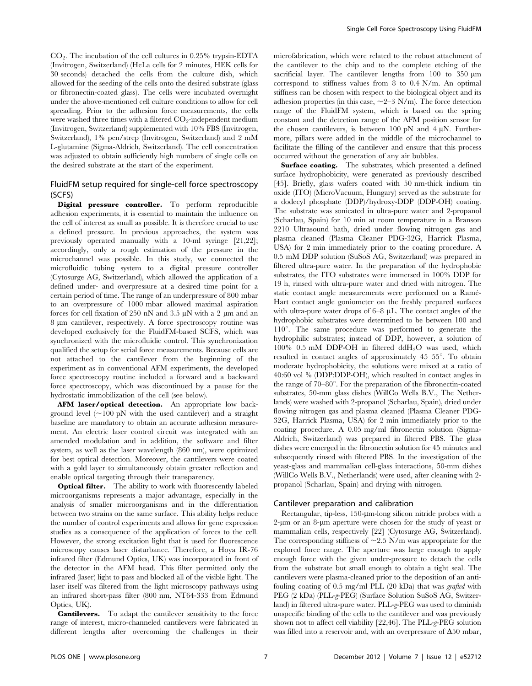$CO<sub>2</sub>$ . The incubation of the cell cultures in 0.25% trypsin-EDTA (Invitrogen, Switzerland) (HeLa cells for 2 minutes, HEK cells for 30 seconds) detached the cells from the culture dish, which allowed for the seeding of the cells onto the desired substrate (glass or fibronectin-coated glass). The cells were incubated overnight under the above-mentioned cell culture conditions to allow for cell spreading. Prior to the adhesion force measurements, the cells were washed three times with a filtered  $CO_2$ -independent medium (Invitrogen, Switzerland) supplemented with 10% FBS (Invitrogen, Switzerland), 1% pen/strep (Invitrogen, Switzerland) and 2 mM L-glutamine (Sigma-Aldrich, Switzerland). The cell concentration was adjusted to obtain sufficiently high numbers of single cells on the desired substrate at the start of the experiment.

## FluidFM setup required for single-cell force spectroscopy (SCFS)

Digital pressure controller. To perform reproducible adhesion experiments, it is essential to maintain the influence on the cell of interest as small as possible. It is therefore crucial to use a defined pressure. In previous approaches, the system was previously operated manually with a 10-ml syringe [21,22]; accordingly, only a rough estimation of the pressure in the microchannel was possible. In this study, we connected the microfluidic tubing system to a digital pressure controller (Cytosurge AG, Switzerland), which allowed the application of a defined under- and overpressure at a desired time point for a certain period of time. The range of an underpressure of 800 mbar to an overpressure of 1000 mbar allowed maximal aspiration forces for cell fixation of 250 nN and 3.5  $\mu$ N with a 2  $\mu$ m and an 8 µm cantilever, respectively. A force spectroscopy routine was developed exclusively for the FluidFM-based SCFS, which was synchronized with the microfluidic control. This synchronization qualified the setup for serial force measurements. Because cells are not attached to the cantilever from the beginning of the experiment as in conventional AFM experiments, the developed force spectroscopy routine included a forward and a backward force spectroscopy, which was discontinued by a pause for the hydrostatic immobilization of the cell (see below).

AFM laser/optical detection. An appropriate low background level  $(\sim100 \text{ pN}$  with the used cantilever) and a straight baseline are mandatory to obtain an accurate adhesion measurement. An electric laser control circuit was integrated with an amended modulation and in addition, the software and filter system, as well as the laser wavelength (860 nm), were optimized for best optical detection. Moreover, the cantilevers were coated with a gold layer to simultaneously obtain greater reflection and enable optical targeting through their transparency.

**Optical filter.** The ability to work with fluorescently labeled microorganisms represents a major advantage, especially in the analysis of smaller microorganisms and in the differentiation between two strains on the same surface. This ability helps reduce the number of control experiments and allows for gene expression studies as a consequence of the application of forces to the cell. However, the strong excitation light that is used for fluorescence microscopy causes laser disturbance. Therefore, a Hoya IR-76 infrared filter (Edmund Optics, UK) was incorporated in front of the detector in the AFM head. This filter permitted only the infrared (laser) light to pass and blocked all of the visible light. The laser itself was filtered from the light microscopy pathways using an infrared short-pass filter (800 nm, NT64-333 from Edmund Optics, UK).

Cantilevers. To adapt the cantilever sensitivity to the force range of interest, micro-channeled cantilevers were fabricated in different lengths after overcoming the challenges in their

microfabrication, which were related to the robust attachment of the cantilever to the chip and to the complete etching of the sacrificial layer. The cantilever lengths from  $100$  to  $350 \mu m$ correspond to stiffness values from 8 to 0.4 N/m. An optimal stiffness can be chosen with respect to the biological object and its adhesion properties (in this case,  $\sim$ 2–3 N/m). The force detection range of the FluidFM system, which is based on the spring constant and the detection range of the AFM position sensor for the chosen cantilevers, is between 100 pN and  $4 \mu$ N. Furthermore, pillars were added in the middle of the microchannel to facilitate the filling of the cantilever and ensure that this process occurred without the generation of any air bubbles.

Surface coating. The substrates, which presented a defined surface hydrophobicity, were generated as previously described [45]. Briefly, glass wafers coated with 50 nm-thick indium tin oxide (ITO) (MicroVacuum, Hungary) served as the substrate for a dodecyl phosphate (DDP)/hydroxy-DDP (DDP-OH) coating. The substrate was sonicated in ultra-pure water and 2-propanol (Scharlau, Spain) for 10 min at room temperature in a Branson 2210 Ultrasound bath, dried under flowing nitrogen gas and plasma cleaned (Plasma Cleaner PDG-32G, Harrick Plasma, USA) for 2 min immediately prior to the coating procedure. A 0.5 mM DDP solution (SuSoS AG, Switzerland) was prepared in filtered ultra-pure water. In the preparation of the hydrophobic substrates, the ITO substrates were immersed in 100% DDP for 19 h, rinsed with ultra-pure water and dried with nitrogen. The static contact angle measurements were performed on a Ramé-Hart contact angle goniometer on the freshly prepared surfaces with ultra-pure water drops of  $6-8$   $\mu$ L. The contact angles of the hydrophobic substrates were determined to be between 100 and  $110^{\circ}$ . The same procedure was performed to generate the hydrophilic substrates; instead of DDP, however, a solution of  $100\%$  0.5 mM DDP-OH in filtered ddH<sub>2</sub>O was used, which resulted in contact angles of approximately  $45-55^{\circ}$ . To obtain moderate hydrophobicity, the solutions were mixed at a ratio of 40:60 vol % (DDP:DDP-OH), which resulted in contact angles in the range of  $70-80^\circ$ . For the preparation of the fibronectin-coated substrates, 50-mm glass dishes (WillCo Wells B.V., The Netherlands) were washed with 2-propanol (Scharlau, Spain), dried under flowing nitrogen gas and plasma cleaned (Plasma Cleaner PDG-32G, Harrick Plasma, USA) for 2 min immediately prior to the coating procedure. A 0.05 mg/ml fibronectin solution (Sigma-Aldrich, Switzerland) was prepared in filtered PBS. The glass dishes were emerged in the fibronectin solution for 45 minutes and subsequently rinsed with filtered PBS. In the investigation of the yeast-glass and mammalian cell-glass interactions, 50-mm dishes (WillCo Wells B.V., Netherlands) were used, after cleaning with 2 propanol (Scharlau, Spain) and drying with nitrogen.

#### Cantilever preparation and calibration

Rectangular, tip-less, 150-um-long silicon nitride probes with a 2-µm or an 8-µm aperture were chosen for the study of yeast or mammalian cells, respectively [22] (Cytosurge AG, Switzerland). The corresponding stiffness of  $\sim$ 2.5 N/m was appropriate for the explored force range. The aperture was large enough to apply enough force with the given under-pressure to detach the cells from the substrate but small enough to obtain a tight seal. The cantilevers were plasma-cleaned prior to the deposition of an antifouling coating of 0.5 mg/ml PLL (20 kDa) that was grafted with PEG (2 kDa) (PLL-g-PEG) (Surface Solution SuSoS AG, Switzerland) in filtered ultra-pure water. PLL-g-PEG was used to diminish unspecific binding of the cells to the cantilever and was previously shown not to affect cell viability [22,46]. The PLL-g-PEG solution was filled into a reservoir and, with an overpressure of  $\Delta 50$  mbar,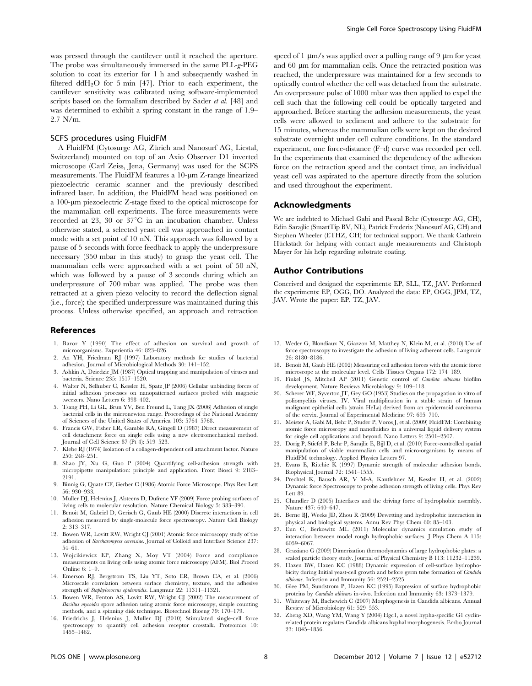was pressed through the cantilever until it reached the aperture. The probe was simultaneously immersed in the same PLL-g-PEG solution to coat its exterior for 1 h and subsequently washed in filtered ddH<sub>2</sub>O for 5 min [47]. Prior to each experiment, the cantilever sensitivity was calibrated using software-implemented scripts based on the formalism described by Sader et al. [48] and was determined to exhibit a spring constant in the range of 1.9– 2.7 N/m.

#### SCFS procedures using FluidFM

A FluidFM (Cytosurge AG, Zürich and Nanosurf AG, Liestal, Switzerland) mounted on top of an Axio Observer D1 inverted microscope (Carl Zeiss, Jena, Germany) was used for the SCFS measurements. The FluidFM features a 10-um Z-range linearized piezoelectric ceramic scanner and the previously described infrared laser. In addition, the FluidFM head was positioned on a 100-um piezoelectric Z-stage fixed to the optical microscope for the mammalian cell experiments. The force measurements were recorded at 23, 30 or  $37^{\circ}$ C in an incubation chamber. Unless otherwise stated, a selected yeast cell was approached in contact mode with a set point of 10 nN. This approach was followed by a pause of 5 seconds with force feedback to apply the underpressure necessary (350 mbar in this study) to grasp the yeast cell. The mammalian cells were approached with a set point of 50 nN, which was followed by a pause of 3 seconds during which an underpressure of 700 mbar was applied. The probe was then retracted at a given piezo velocity to record the deflection signal (i.e., force); the specified underpressure was maintained during this process. Unless otherwise specified, an approach and retraction

#### References

- 1. Baror Y (1990) The effect of adhesion on survival and growth of microorganisms. Experientia 46: 823–826.
- 2. An YH, Friedman RJ (1997) Laboratory methods for studies of bacterial adhesion. Journal of Microbiological Methods 30: 141–152.
- 3. Ashkin A, Dziedzic JM (1987) Optical trapping and manipulation of viruses and bacteria. Science 235: 1517–1520.
- 4. Walter N, Selhuber C, Kessler H, Spatz JP (2006) Cellular unbinding forces of initial adhesion processes on nanopatterned surfaces probed with magnetic tweezers. Nano Letters 6: 398–402.
- 5. Tsang PH, Li GL, Brun YV, Ben Freund L, Tang JX (2006) Adhesion of single bacterial cells in the micronewton range. Proceedings of the National Academy of Sciences of the United States of America 103: 5764–5768.
- 6. Francis GW, Fisher LR, Gamble RA, Gingell D (1987) Direct measurement of cell detachment force on single cells using a new electromechanical method. Journal of Cell Science 87 (Pt 4): 519–523.
- 7. Klebe RJ (1974) Isolation of a collagen-dependent cell attachment factor. Nature 250: 248–251.
- 8. Shao JY, Xu G, Guo P (2004) Quantifying cell-adhesion strength with micropipette manipulation: principle and application. Front Biosci 9: 2183– 2191.
- 9. Binnig G, Quate CF, Gerber C (1986) Atomic Force Microscope. Phys Rev Lett 56: 930–933.
- 10. Muller DJ, Helenius J, Alsteens D, Dufrene YF (2009) Force probing surfaces of living cells to molecular resolution. Nature Chemical Biology 5: 383–390.
- 11. Benoit M, Gabriel D, Gerisch G, Gaub HE (2000) Discrete interactions in cell adhesion measured by single-molecule force spectroscopy. Nature Cell Biology 2: 313–317.
- 12. Bowen WR, Lovitt RW, Wright CJ (2001) Atomic force microscopy study of the adhesion of Saccharomyces cerevisiae. Journal of Colloid and Interface Science 237: 54–61.
- 13. Wojcikiewicz EP, Zhang X, Moy VT (2004) Force and compliance measurements on living cells using atomic force microscopy (AFM). Biol Proced Online 6: 1–9.
- 14. Emerson RJ, Bergstrom TS, Liu YT, Soto ER, Brown CA, et al. (2006) Microscale correlation between surface chemistry, texture, and the adhesive strength of Staphylococcus epidermidis. Langmuir 22: 11311–11321.
- 15. Bowen WR, Fenton AS, Lovitt RW, Wright CJ (2002) The measurement of Bacillus mycoides spore adhesion using atomic force microscopy, simple counting methods, and a spinning disk technique. Biotechnol Bioeng 79: 170–179.
- 16. Friedrichs J, Helenius J, Muller DJ (2010) Stimulated single-cell force spectroscopy to quantify cell adhesion receptor crosstalk. Proteomics 10: 1455–1462.

speed of 1  $\mu$ m/s was applied over a pulling range of 9  $\mu$ m for yeast and  $60 \mu m$  for mammalian cells. Once the retracted position was reached, the underpressure was maintained for a few seconds to optically control whether the cell was detached from the substrate. An overpressure pulse of 1000 mbar was then applied to expel the cell such that the following cell could be optically targeted and approached. Before starting the adhesion measurements, the yeast cells were allowed to sediment and adhere to the substrate for 15 minutes, whereas the mammalian cells were kept on the desired substrate overnight under cell culture conditions. In the standard experiment, one force-distance (F–d) curve was recorded per cell. In the experiments that examined the dependency of the adhesion force on the retraction speed and the contact time, an individual yeast cell was aspirated to the aperture directly from the solution and used throughout the experiment.

#### Acknowledgments

We are indebted to Michael Gabi and Pascal Behr (Cytosurge AG, CH), Edin Sarajlic (SmartTip BV, NL), Patrick Frederix (Nanosurf AG, CH) and Stephen Wheeler (ETHZ, CH) for technical support. We thank Cathrein Hückstädt for helping with contact angle measurements and Christoph Mayer for his help regarding substrate coating.

#### Author Contributions

Conceived and designed the experiments: EP, SLL, TZ, JAV. Performed the experiments: EP, OGG, DO. Analyzed the data: EP, OGG, JPM, TZ, JAV. Wrote the paper: EP, TZ, JAV.

- 17. Weder G, Blondiaux N, Giazzon M, Matthey N, Klein M, et al. (2010) Use of force spectroscopy to investigate the adhesion of living adherent cells. Langmuir 26: 8180–8186.
- 18. Benoit M, Gaub HE (2002) Measuring cell adhesion forces with the atomic force microscope at the molecular level. Cells Tissues Organs 172: 174–189.
- 19. Finkel JS, Mitchell AP (2011) Genetic control of Candida albicans biofilm development. Nature Reviews Microbiology 9: 109–118.
- 20. Scherer WF, Syverton JT, Gey GO (1953) Studies on the propagation in vitro of poliomyelitis viruses. IV. Viral multiplication in a stable strain of human malignant epithelial cells (strain HeLa) derived from an epidermoid carcinoma of the cervix. Journal of Experimental Medicine 97: 695–710.
- 21. Meister A, Gabi M, Behr P, Studer P, Voros J, et al. (2009) FluidFM: Combining atomic force microscopy and nanofluidics in a universal liquid delivery system for single cell applications and beyond. Nano Letters 9: 2501–2507.
- 22. Dorig P, Stiefel P, Behr P, Sarajlic E, Bijl D, et al. (2010) Force-controlled spatial manipulation of viable mammalian cells and micro-organisms by means of FluidFM technology. Applied Physics Letters 97.
- 23. Evans E, Ritchie K (1997) Dynamic strength of molecular adhesion bonds. Biophysical Journal 72: 1541–1555.
- 24. Prechtel K, Bausch AR, V M-A, Kantlehner M, Kessler H, et al. (2002) Dynamic force Spectroscopy to probe adhesion strength of living cells. Phys Rev Lett 89.
- 25. Chandler D (2005) Interfaces and the driving force of hydrophobic assembly. Nature 437: 640–647.
- 26. Berne BJ, Weeks JD, Zhou R (2009) Dewetting and hydrophobic interaction in physical and biological systems. Annu Rev Phys Chem 60: 85–103.
- 27. Eun C, Berkowitz ML (2011) Molecular dynamics simulation study of interaction between model rough hydrophobic surfaces. J Phys Chem A 115: 6059–6067.
- 28. Graziano G (2009) Dimerization thermodynamics of large hydrophobic plates: a scaled particle theory study. Journal of Physical Chemistry B 113: 11232–11239.
- 29. Hazen BW, Hazen KC (1988) Dynamic expression of cell-surface hydrophobicity during Initial yeast-cell growth and before germ tube formation of Candida albicans. Infection and Immunity 56: 2521–2525.
- 30. Glee PM, Sundstrom P, Hazen KC (1995) Expression of surface hydrophobic proteins by *Candida albicans* in-vivo. Infection and Immunity 63: 1373-1379.
- 31. Whiteway M, Bachewich C (2007) Morphogenesis in Candida albicans. Annual Review of Microbiology 61: 529–553.
- 32. Zheng XD, Wang YM, Wang Y (2004) Hgc1, a novel hypha-specific G1 cyclinrelated protein regulates Candida albicans hyphal morphogenesis. Embo Journal 23: 1845–1856.